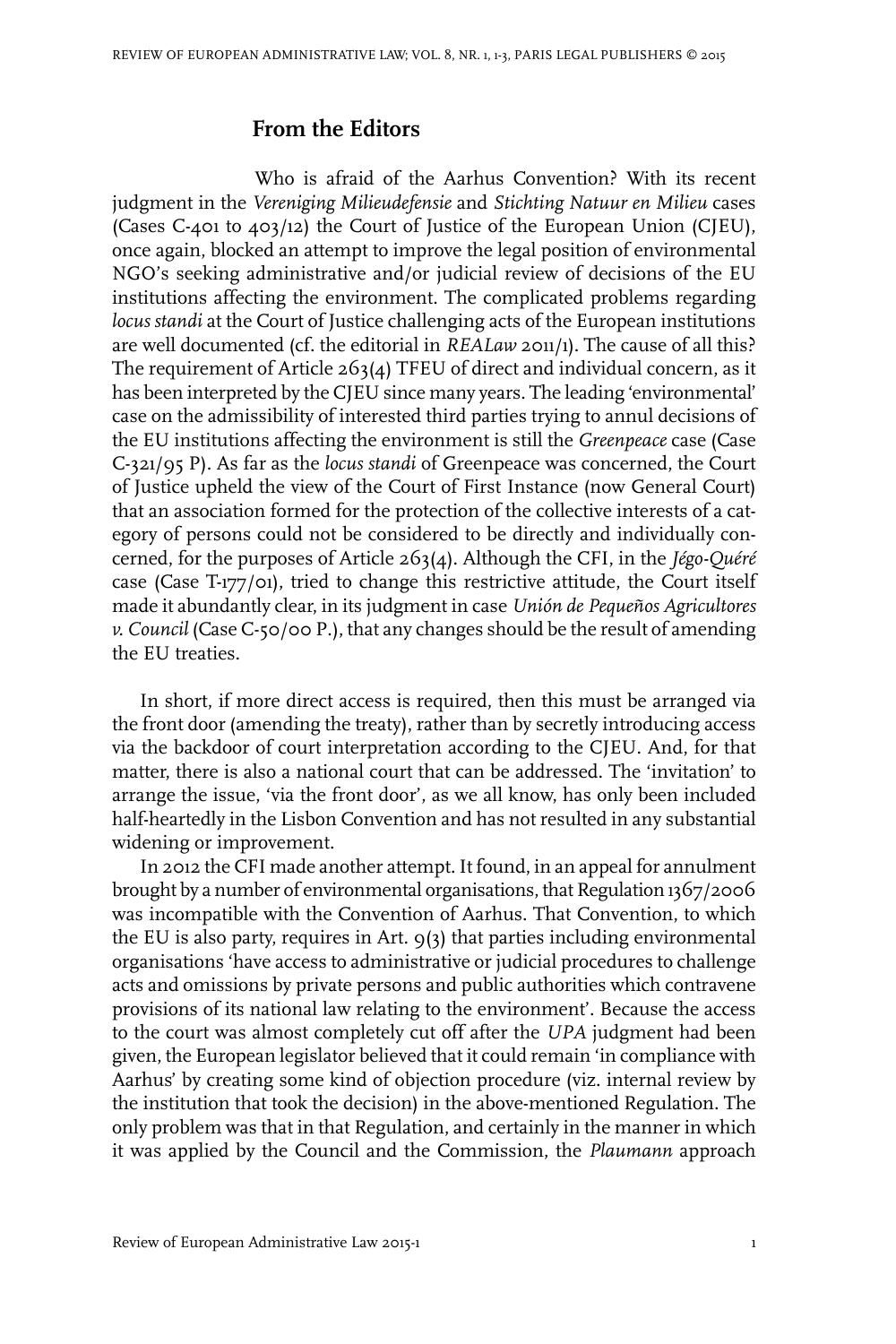## **From the Editors**

Who is afraid of the Aarhus Convention? With its recent judgment in the *Vereniging Milieudefensie* and *Stichting Natuur en Milieu* cases (Cases C-401 to 403/12) the Court of Justice of the European Union (CJEU), once again, blocked an attempt to improve the legal position of environmental NGO's seeking administrative and/or judicial review of decisions of the EU institutions affecting the environment. The complicated problems regarding *locus standi* at the Court of Justice challenging acts of the European institutions are well documented (cf. the editorial in *REALaw* 2011/1). The cause of all this? The requirement of Article 263(4) TFEU of direct and individual concern, as it has been interpreted by the CIEU since many years. The leading 'environmental' case on the admissibility of interested third parties trying to annul decisions of the EU institutions affecting the environment is still the *Greenpeace* case (Case C-321/95 P). As far as the *locus standi* of Greenpeace was concerned, the Court of Justice upheld the view of the Court of First Instance (now General Court) that an association formed for the protection of the collective interests of a category of persons could not be considered to be directly and individually concerned, for the purposes of Article 263(4). Although the CFI, in the *Jégo-Quéré* case (Case T-177/01), tried to change this restrictive attitude, the Court itself made it abundantly clear, in its judgment in case *Unión de Pequeños Agricultores v. Council* (Case C-50/00 P.), that any changes should be the result of amending the EU treaties.

In short, if more direct access is required, then this must be arranged via the front door (amending the treaty), rather than by secretly introducing access via the backdoor of court interpretation according to the CJEU. And, for that matter, there is also a national court that can be addressed. The 'invitation' to arrange the issue, 'via the front door', as we all know, has only been included half-heartedly in the Lisbon Convention and has not resulted in any substantial widening or improvement.

In 2012 the CFI made another attempt.It found, in an appeal for annulment brought by a number of environmental organisations, that Regulation 1367/2006 was incompatible with the Convention of Aarhus. That Convention, to which the EU is also party, requires in Art. 9(3) that parties including environmental organisations 'have access to administrative or judicial procedures to challenge acts and omissions by private persons and public authorities which contravene provisions of its national law relating to the environment'. Because the access to the court was almost completely cut off after the *UPA* judgment had been given, the European legislator believed that it could remain 'in compliance with Aarhus' by creating some kind of objection procedure (viz. internal review by the institution that took the decision) in the above-mentioned Regulation. The only problem was that in that Regulation, and certainly in the manner in which it was applied by the Council and the Commission, the *Plaumann* approach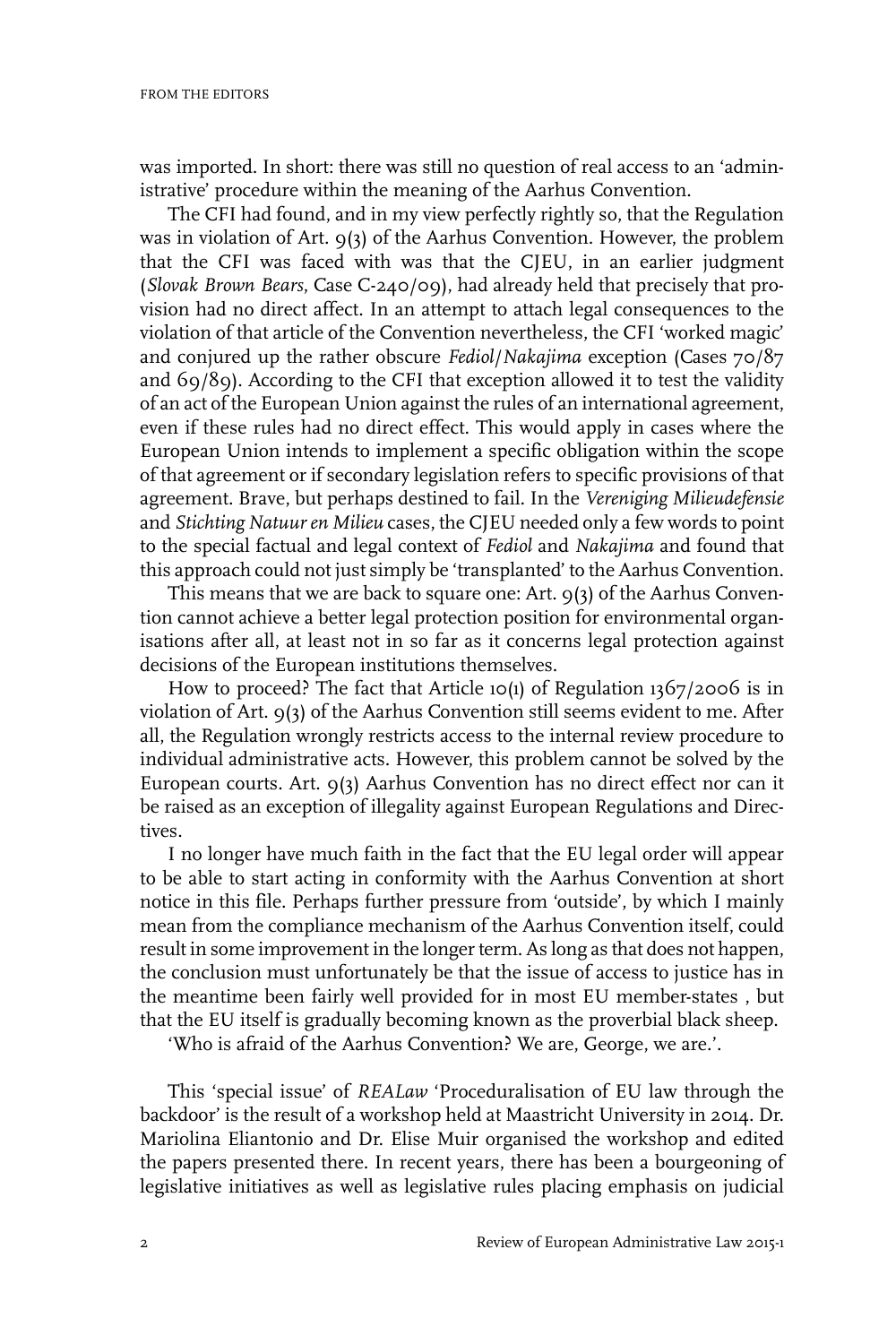was imported. In short: there was still no question of real access to an 'administrative' procedure within the meaning of the Aarhus Convention.

The CFI had found, and in my view perfectly rightly so, that the Regulation was in violation of Art. 9(3) of the Aarhus Convention. However, the problem that the CFI was faced with was that the CJEU, in an earlier judgment (*Slovak Brown Bears*, Case C-240/09), had already held that precisely that provision had no direct affect. In an attempt to attach legal consequences to the violation of that article of the Convention nevertheless, the CFI 'worked magic' and conjured up the rather obscure *Fediol*/*Nakajima* exception (Cases 70/87 and 69/89). According to the CFI that exception allowed it to test the validity of an act of the European Union against the rules of an international agreement, even if these rules had no direct effect. This would apply in cases where the European Union intends to implement a specific obligation within the scope of that agreement or if secondary legislation refers to specific provisions of that agreement. Brave, but perhaps destined to fail. In the *Vereniging Milieudefensie* and *Stichting Natuur en Milieu* cases, the CJEU needed only a few words to point to the special factual and legal context of *Fediol* and *Nakajima* and found that this approach could not just simply be 'transplanted' to the Aarhus Convention.

This means that we are back to square one: Art. 9(3) of the Aarhus Convention cannot achieve a better legal protection position for environmental organisations after all, at least not in so far as it concerns legal protection against decisions of the European institutions themselves.

How to proceed? The fact that Article 10(1) of Regulation 1367/2006 is in violation of Art. 9(3) of the Aarhus Convention still seems evident to me. After all, the Regulation wrongly restricts access to the internal review procedure to individual administrative acts. However, this problem cannot be solved by the European courts. Art. 9(3) Aarhus Convention has no direct effect nor can it be raised as an exception of illegality against European Regulations and Directives.

I no longer have much faith in the fact that the EU legal order will appear to be able to start acting in conformity with the Aarhus Convention at short notice in this file. Perhaps further pressure from 'outside', by which I mainly mean from the compliance mechanism of the Aarhus Convention itself, could result in some improvement in the longer term. As long as that does not happen, the conclusion must unfortunately be that the issue of access to justice has in the meantime been fairly well provided for in most EU member-states , but that the EU itself is gradually becoming known as the proverbial black sheep.

'Who is afraid of the Aarhus Convention? We are, George, we are.'.

This 'special issue' of *REALaw* 'Proceduralisation of EU law through the backdoor' is the result of a workshop held at Maastricht University in 2014. Dr. Mariolina Eliantonio and Dr. Elise Muir organised the workshop and edited the papers presented there. In recent years, there has been a bourgeoning of legislative initiatives as well as legislative rules placing emphasis on judicial